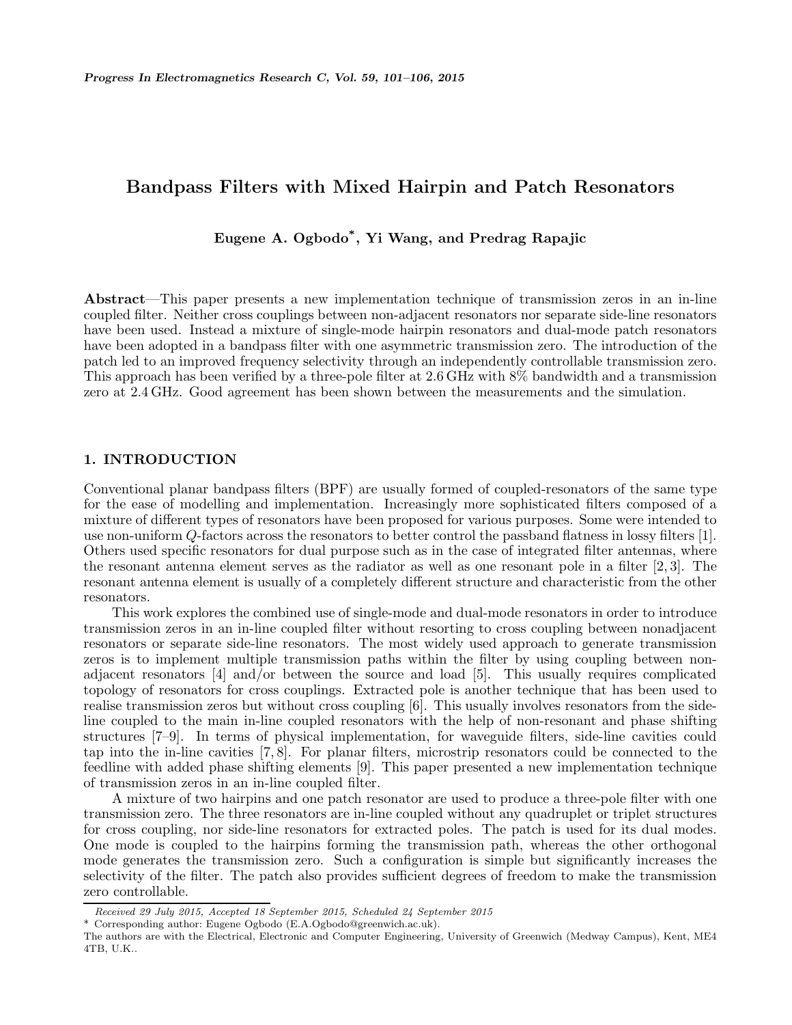## Bandpass Filters with Mixed Hairpin and Patch Resonators

# Eugene A. Ogbodo\* , Yi Wang, and Predrag Rapajic

Abstract—This paper presents a new implementation technique of transmission zeros in an in-line coupled filter. Neither cross couplings between non-adjacent resonators nor separate side-line resonators have been used. Instead a mixture of single-mode hairpin resonators and dual-mode patch resonators have been adopted in a bandpass filter with one asymmetric transmission zero. The introduction of the patch led to an improved frequency selectivity through an independently controllable transmission zero. This approach has been verified by a three-pole filter at 2.6 GHz with 8% bandwidth and a transmission zero at 2.4 GHz. Good agreement has been shown between the measurements and the simulation.

## 1. INTRODUCTION

Conventional planar bandpass filters (BPF) are usually formed of coupled-resonators of the same type for the ease of modelling and implementation. Increasingly more sophisticated filters composed of a mixture of different types of resonators have been proposed for various purposes. Some were intended to use non-uniform Q-factors across the resonators to better control the passband flatness in lossy filters [1]. Others used specific resonators for dual purpose such as in the case of integrated filter antennas, where the resonant antenna element serves as the radiator as well as one resonant pole in a filter [2, 3]. The resonant antenna element is usually of a completely different structure and characteristic from the other resonators.

This work explores the combined use of single-mode and dual-mode resonators in order to introduce transmission zeros in an in-line coupled filter without resorting to cross coupling between nonadjacent resonators or separate side-line resonators. The most widely used approach to generate transmission zeros is to implement multiple transmission paths within the filter by using coupling between nonadjacent resonators [4] and/or between the source and load [5]. This usually requires complicated topology of resonators for cross couplings. Extracted pole is another technique that has been used to realise transmission zeros but without cross coupling [6]. This usually involves resonators from the sideline coupled to the main in-line coupled resonators with the help of non-resonant and phase shifting structures [7–9]. In terms of physical implementation, for waveguide filters, side-line cavities could tap into the in-line cavities [7, 8]. For planar filters, microstrip resonators could be connected to the feedline with added phase shifting elements [9]. This paper presented a new implementation technique of transmission zeros in an in-line coupled filter.

A mixture of two hairpins and one patch resonator are used to produce a three-pole filter with one transmission zero. The three resonators are in-line coupled without any quadruplet or triplet structures for cross coupling, nor side-line resonators for extracted poles. The patch is used for its dual modes. One mode is coupled to the hairpins forming the transmission path, whereas the other orthogonal mode generates the transmission zero. Such a configuration is simple but significantly increases the selectivity of the filter. The patch also provides sufficient degrees of freedom to make the transmission zero controllable.

Received 29 July 2015, Accepted 18 September 2015, Scheduled 24 September 2015

<sup>\*</sup> Corresponding author: Eugene Ogbodo (E.A.Ogbodo@greenwich.ac.uk).

The authors are with the Electrical, Electronic and Computer Engineering, University of Greenwich (Medway Campus), Kent, ME4 4TB, U.K..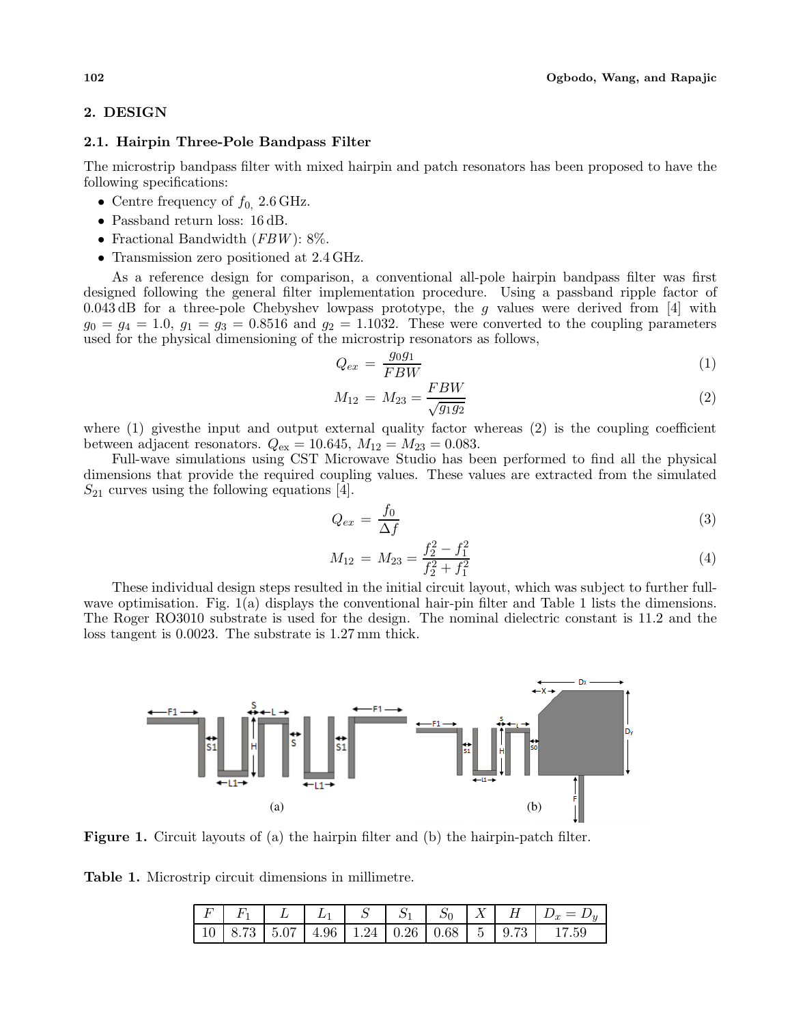## 2. DESIGN

#### 2.1. Hairpin Three-Pole Bandpass Filter

The microstrip bandpass filter with mixed hairpin and patch resonators has been proposed to have the following specifications:

- Centre frequency of  $f_0$ , 2.6 GHz.
- Passband return loss: 16 dB.
- Fractional Bandwidth  $(FBW)$ : 8%.
- Transmission zero positioned at 2.4 GHz.

As a reference design for comparison, a conventional all-pole hairpin bandpass filter was first designed following the general filter implementation procedure. Using a passband ripple factor of 0.043 dB for a three-pole Chebyshev lowpass prototype, the g values were derived from [4] with  $g_0 = g_4 = 1.0$ ,  $g_1 = g_3 = 0.8516$  and  $g_2 = 1.1032$ . These were converted to the coupling parameters used for the physical dimensioning of the microstrip resonators as follows,

$$
Q_{ex} = \frac{g_0 g_1}{FBW} \tag{1}
$$

$$
M_{12} = M_{23} = \frac{FBW}{\sqrt{g_1 g_2}}\tag{2}
$$

where (1) gives the input and output external quality factor whereas (2) is the coupling coefficient between adjacent resonators.  $Q_{\text{ex}} = 10.645, M_{12} = M_{23} = 0.083$ .

Full-wave simulations using CST Microwave Studio has been performed to find all the physical dimensions that provide the required coupling values. These values are extracted from the simulated  $S_{21}$  curves using the following equations [4].

$$
Q_{ex} = \frac{f_0}{\Delta f} \tag{3}
$$

$$
M_{12} = M_{23} = \frac{f_2^2 - f_1^2}{f_2^2 + f_1^2}
$$
\n(4)

These individual design steps resulted in the initial circuit layout, which was subject to further fullwave optimisation. Fig. 1(a) displays the conventional hair-pin filter and Table 1 lists the dimensions. The Roger RO3010 substrate is used for the design. The nominal dielectric constant is 11.2 and the loss tangent is 0.0023. The substrate is 1.27 mm thick.



Figure 1. Circuit layouts of (a) the hairpin filter and (b) the hairpin-patch filter.

Table 1. Microstrip circuit dimensions in millimetre.

|  |  |  |  | $F \mid F_1 \mid L \mid L_1 \mid S \mid S_1 \mid S_0 \mid X \mid H \mid D_x = D_y$ |
|--|--|--|--|------------------------------------------------------------------------------------|
|  |  |  |  |                                                                                    |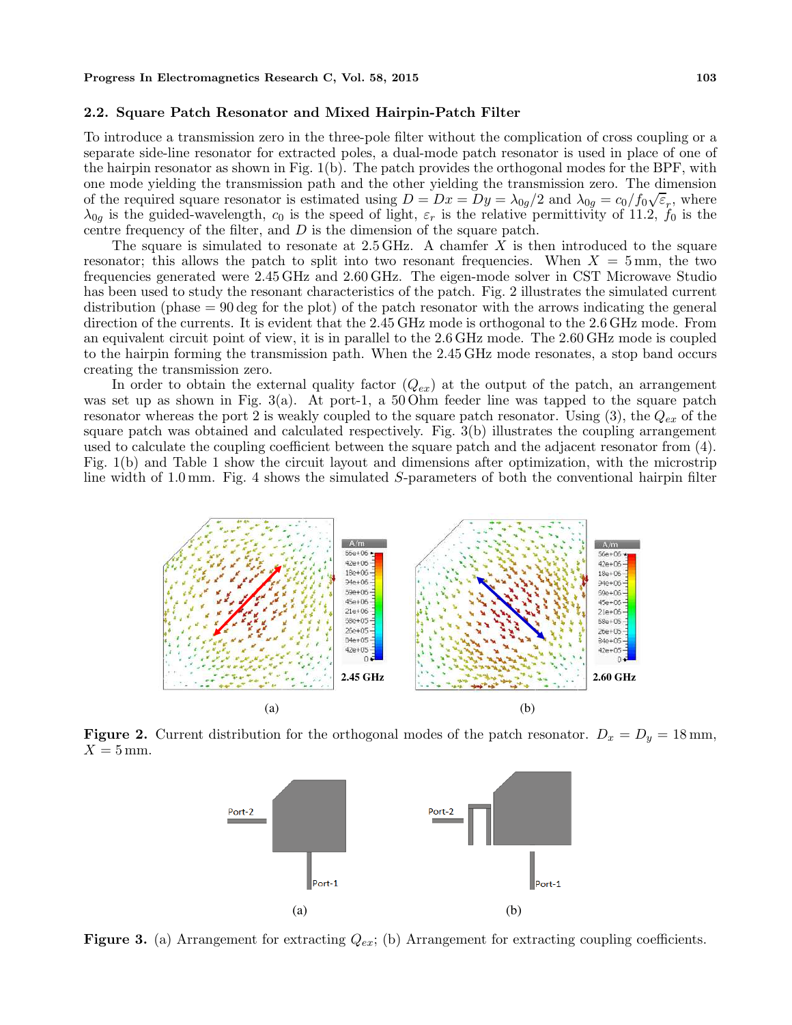#### 2.2. Square Patch Resonator and Mixed Hairpin-Patch Filter

To introduce a transmission zero in the three-pole filter without the complication of cross coupling or a separate side-line resonator for extracted poles, a dual-mode patch resonator is used in place of one of the hairpin resonator as shown in Fig. 1(b). The patch provides the orthogonal modes for the BPF, with one mode yielding the transmission path and the other yielding the transmission zero. The dimension of the required square resonator is estimated using  $D = Dx = Dy = \lambda_{0g}/2$  and  $\lambda_{0g} = c_0/f_0\sqrt{\varepsilon_r}$ , where  $\lambda_{0g}$  is the guided-wavelength,  $c_0$  is the speed of light,  $\varepsilon_r$  is the relative permittivity of 11.2,  $f_0$  is the centre frequency of the filter, and D is the dimension of the square patch.

The square is simulated to resonate at  $2.5 \text{ GHz}$ . A chamfer X is then introduced to the square resonator; this allows the patch to split into two resonant frequencies. When  $X = 5$  mm, the two frequencies generated were 2.45 GHz and 2.60 GHz. The eigen-mode solver in CST Microwave Studio has been used to study the resonant characteristics of the patch. Fig. 2 illustrates the simulated current distribution (phase = 90 deg for the plot) of the patch resonator with the arrows indicating the general direction of the currents. It is evident that the 2.45 GHz mode is orthogonal to the 2.6 GHz mode. From an equivalent circuit point of view, it is in parallel to the 2.6 GHz mode. The 2.60 GHz mode is coupled to the hairpin forming the transmission path. When the 2.45 GHz mode resonates, a stop band occurs creating the transmission zero.

In order to obtain the external quality factor  $(Q_{ex})$  at the output of the patch, an arrangement was set up as shown in Fig. 3(a). At port-1, a 50 Ohm feeder line was tapped to the square patch resonator whereas the port 2 is weakly coupled to the square patch resonator. Using  $(3)$ , the  $Q_{ex}$  of the square patch was obtained and calculated respectively. Fig. 3(b) illustrates the coupling arrangement used to calculate the coupling coefficient between the square patch and the adjacent resonator from (4). Fig. 1(b) and Table 1 show the circuit layout and dimensions after optimization, with the microstrip line width of 1.0 mm. Fig. 4 shows the simulated S-parameters of both the conventional hairpin filter



Figure 2. Current distribution for the orthogonal modes of the patch resonator.  $D_x = D_y = 18 \text{ mm}$ ,  $X = 5$  mm.



**Figure 3.** (a) Arrangement for extracting  $Q_{ex}$ ; (b) Arrangement for extracting coupling coefficients.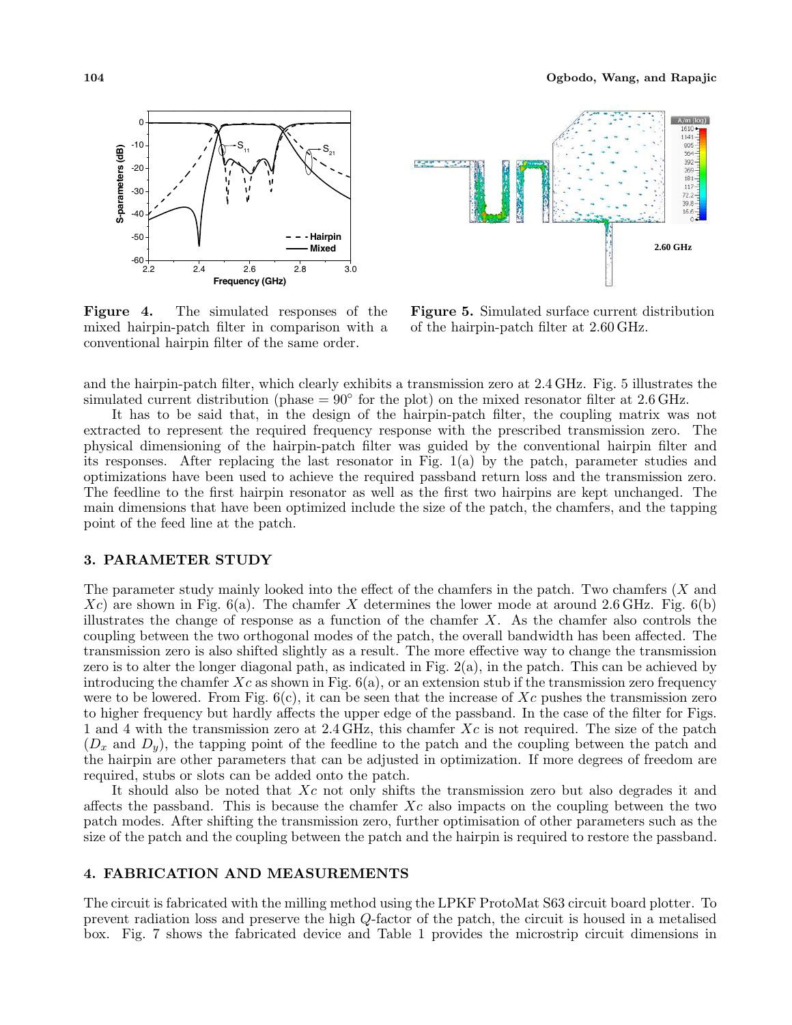

Figure 4. The simulated responses of the mixed hairpin-patch filter in comparison with a conventional hairpin filter of the same order.



Figure 5. Simulated surface current distribution of the hairpin-patch filter at 2.60 GHz.

and the hairpin-patch filter, which clearly exhibits a transmission zero at 2.4 GHz. Fig. 5 illustrates the simulated current distribution (phase =  $90^{\circ}$  for the plot) on the mixed resonator filter at 2.6 GHz.

It has to be said that, in the design of the hairpin-patch filter, the coupling matrix was not extracted to represent the required frequency response with the prescribed transmission zero. The physical dimensioning of the hairpin-patch filter was guided by the conventional hairpin filter and its responses. After replacing the last resonator in Fig. 1(a) by the patch, parameter studies and optimizations have been used to achieve the required passband return loss and the transmission zero. The feedline to the first hairpin resonator as well as the first two hairpins are kept unchanged. The main dimensions that have been optimized include the size of the patch, the chamfers, and the tapping point of the feed line at the patch.

#### 3. PARAMETER STUDY

The parameter study mainly looked into the effect of the chamfers in the patch. Two chamfers (X and  $Xc$ ) are shown in Fig.  $6(a)$ . The chamfer X determines the lower mode at around 2.6 GHz. Fig.  $6(b)$ illustrates the change of response as a function of the chamfer  $X$ . As the chamfer also controls the coupling between the two orthogonal modes of the patch, the overall bandwidth has been affected. The transmission zero is also shifted slightly as a result. The more effective way to change the transmission zero is to alter the longer diagonal path, as indicated in Fig. 2(a), in the patch. This can be achieved by introducing the chamfer  $Xc$  as shown in Fig.  $6(a)$ , or an extension stub if the transmission zero frequency were to be lowered. From Fig.  $6(c)$ , it can be seen that the increase of Xc pushes the transmission zero to higher frequency but hardly affects the upper edge of the passband. In the case of the filter for Figs. 1 and 4 with the transmission zero at  $2.4 \text{ GHz}$ , this chamfer Xc is not required. The size of the patch  $(D_x \text{ and } D_y)$ , the tapping point of the feedline to the patch and the coupling between the patch and the hairpin are other parameters that can be adjusted in optimization. If more degrees of freedom are required, stubs or slots can be added onto the patch.

It should also be noted that Xc not only shifts the transmission zero but also degrades it and affects the passband. This is because the chamfer  $Xc$  also impacts on the coupling between the two patch modes. After shifting the transmission zero, further optimisation of other parameters such as the size of the patch and the coupling between the patch and the hairpin is required to restore the passband.

### 4. FABRICATION AND MEASUREMENTS

The circuit is fabricated with the milling method using the LPKF ProtoMat S63 circuit board plotter. To prevent radiation loss and preserve the high Q-factor of the patch, the circuit is housed in a metalised box. Fig. 7 shows the fabricated device and Table 1 provides the microstrip circuit dimensions in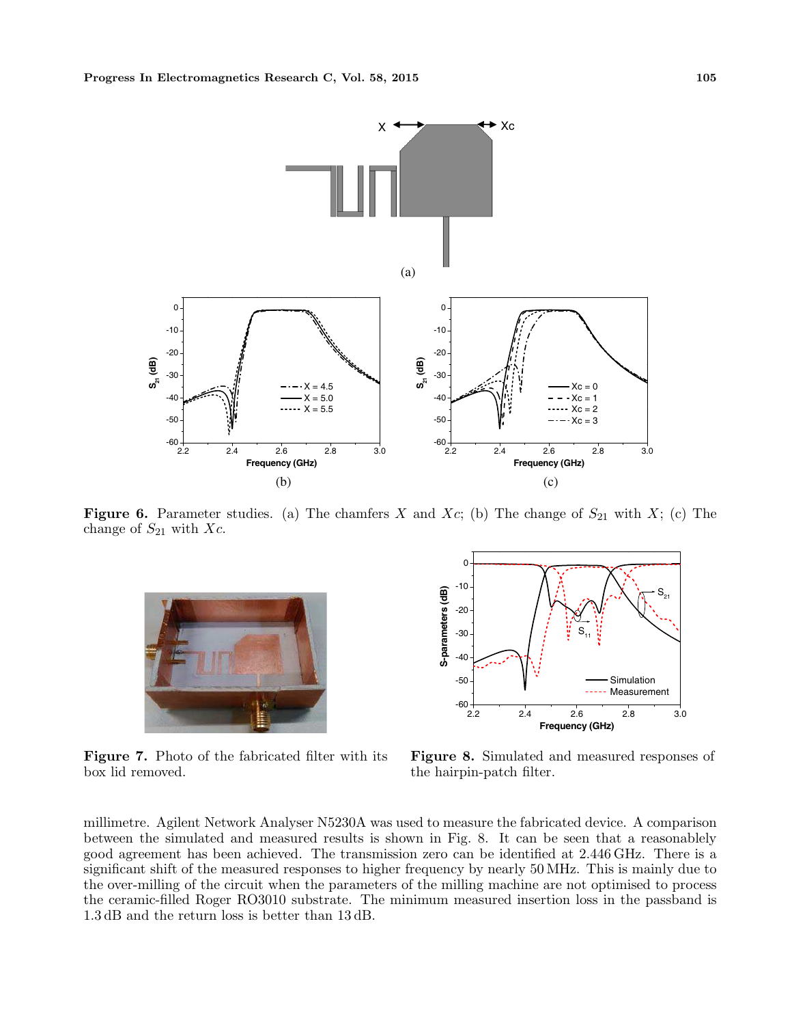

**Figure 6.** Parameter studies. (a) The chamfers X and Xc; (b) The change of  $S_{21}$  with X; (c) The change of  $S_{21}$  with Xc.



Figure 7. Photo of the fabricated filter with its box lid removed.



Figure 8. Simulated and measured responses of the hairpin-patch filter.

millimetre. Agilent Network Analyser N5230A was used to measure the fabricated device. A comparison between the simulated and measured results is shown in Fig. 8. It can be seen that a reasonablely good agreement has been achieved. The transmission zero can be identified at 2.446 GHz. There is a significant shift of the measured responses to higher frequency by nearly 50 MHz. This is mainly due to the over-milling of the circuit when the parameters of the milling machine are not optimised to process the ceramic-filled Roger RO3010 substrate. The minimum measured insertion loss in the passband is 1.3 dB and the return loss is better than 13 dB.